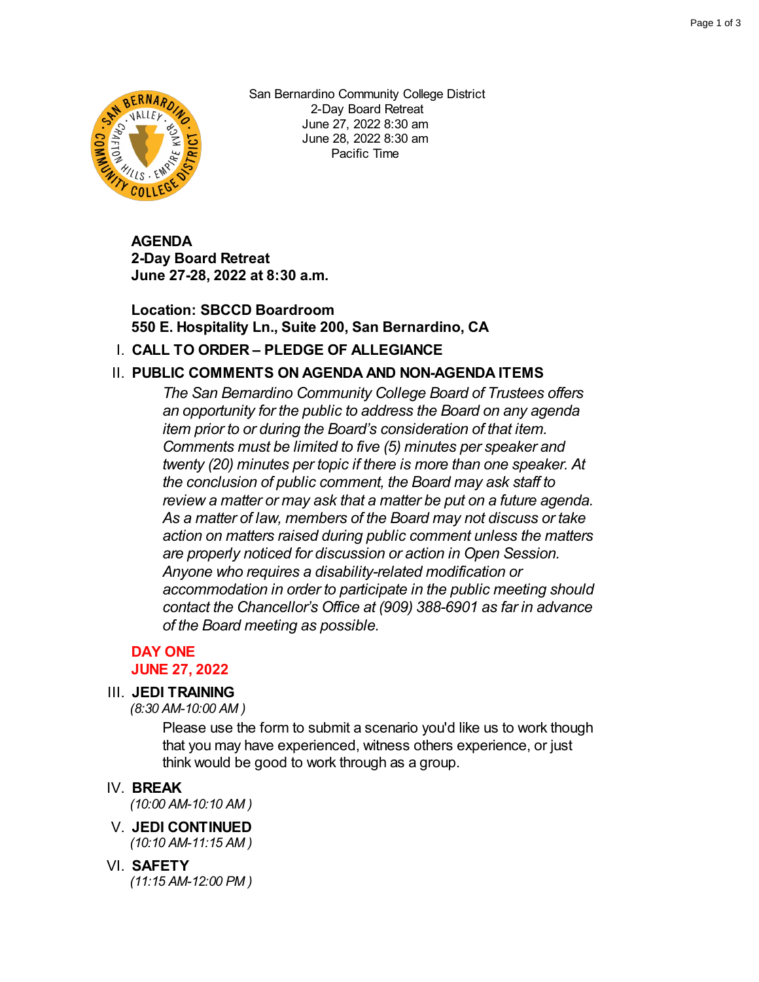

San Bernardino Community College District 2-Day Board Retreat June 27, 2022 8:30 am June 28, 2022 8:30 am Pacific Time

**AGENDA 2-Day Board Retreat June 27-28, 2022 at 8:30 a.m.**

# **Location: SBCCD Boardroom 550 E. Hospitality Ln., Suite 200, San Bernardino, CA**

# I. **CALL TO ORDER – PLEDGE OF ALLEGIANCE**

# II. **PUBLIC COMMENTS ON AGENDA AND NON-AGENDA ITEMS**

*The San Bernardino Community College Board of Trustees offers an opportunity for the public to address the Board on any agenda item prior to or during the Board's consideration of that item. Comments must be limited to five (5) minutes per speaker and twenty (20) minutes per topic if there is more than one speaker. At the conclusion of public comment, the Board may ask staff to review a matter or may ask that a matter be put on a future agenda. As a matter of law, members of the Board may not discuss or take action on matters raised during public comment unless the matters are properly noticed for discussion or action in Open Session. Anyone who requires a disability-related modification or accommodation in order to participate in the public meeting should contact the Chancellor's Office at (909) 388-6901 as far in advance of the Board meeting as possible.*

#### **DAY ONE JUNE 27, 2022**

# III. **JEDI TRAINING**

*(8:30 AM-10:00 AM )*

Please use the form to submit a scenario you'd like us to work though that you may have experienced, witness others experience, or just think would be good to work through as a group.

### IV. **BREAK**

*(10:00 AM-10:10 AM )*

### V. **JEDI CONTINUED**

*(10:10 AM-11:15 AM )*

#### VI. **SAFETY**

*(11:15 AM-12:00 PM )*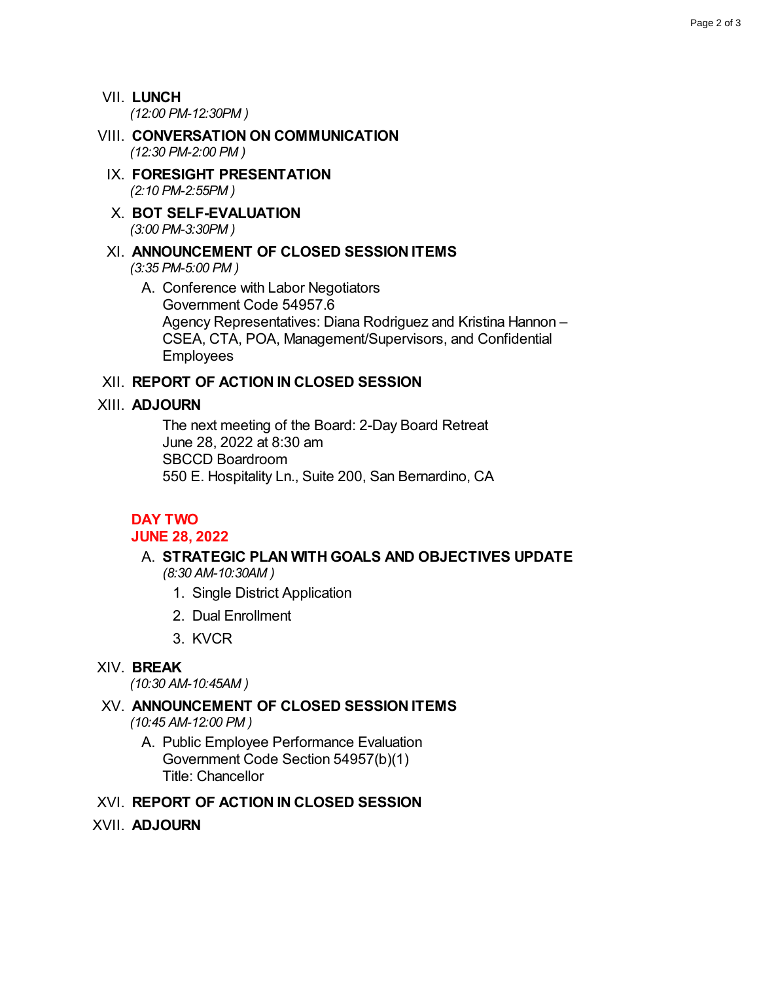VII. **LUNCH** *(12:00 PM-12:30PM )*

- VIII. **CONVERSATION ON COMMUNICATION** *(12:30 PM-2:00 PM )*
	- IX. **FORESIGHT PRESENTATION** *(2:10 PM-2:55PM )*
	- X. **BOT SELF-EVALUATION** *(3:00 PM-3:30PM )*

## XI. **ANNOUNCEMENT OF CLOSED SESSION ITEMS** *(3:35 PM-5:00 PM )*

A. Conference with Labor Negotiators Government Code 54957.6 Agency Representatives: Diana Rodriguez and Kristina Hannon – CSEA, CTA, POA, Management/Supervisors, and Confidential Employees

### XII. **REPORT OF ACTION IN CLOSED SESSION**

#### XIII. **ADJOURN**

The next meeting of the Board: 2-Day Board Retreat June 28, 2022 at 8:30 am SBCCD Boardroom 550 E. Hospitality Ln., Suite 200, San Bernardino, CA

### **DAY TWO**

#### **JUNE 28, 2022**

#### A. **STRATEGIC PLAN WITH GOALS AND OBJECTIVES UPDATE** *(8:30 AM-10:30AM )*

- 1. Single District Application
- 2. Dual Enrollment
- 3. KVCR

### XIV. **BREAK**

*(10:30 AM-10:45AM )*

# XV. **ANNOUNCEMENT OF CLOSED SESSION ITEMS**

*(10:45 AM-12:00 PM )*

A. Public Employee Performance Evaluation Government Code Section 54957(b)(1) Title: Chancellor

### XVI. **REPORT OF ACTION IN CLOSED SESSION**

XVII. **ADJOURN**